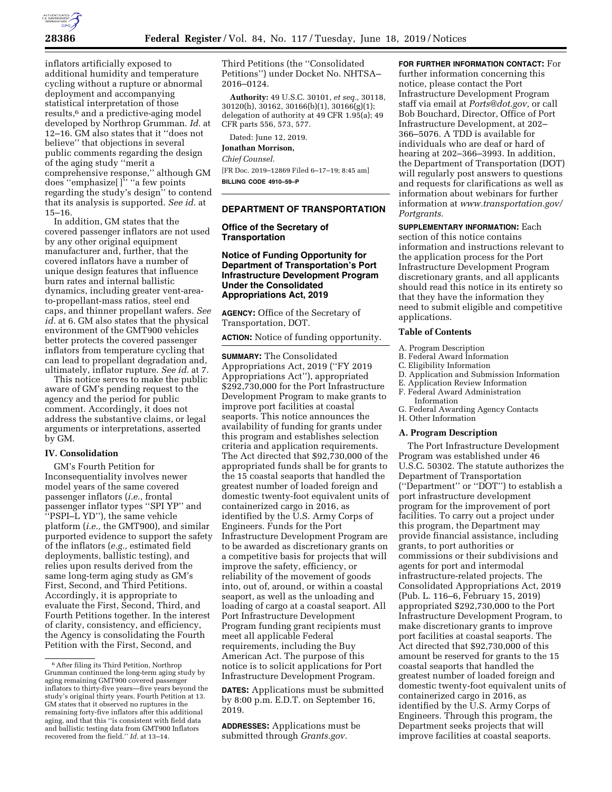

inflators artificially exposed to additional humidity and temperature cycling without a rupture or abnormal deployment and accompanying statistical interpretation of those results,6 and a predictive-aging model developed by Northrop Grumman. *Id.* at 12–16. GM also states that it ''does not believe'' that objections in several public comments regarding the design of the aging study ''merit a comprehensive response,'' although GM does ''emphasize[ ]'' ''a few points regarding the study's design'' to contend that its analysis is supported. *See id.* at 15–16.

In addition, GM states that the covered passenger inflators are not used by any other original equipment manufacturer and, further, that the covered inflators have a number of unique design features that influence burn rates and internal ballistic dynamics, including greater vent-areato-propellant-mass ratios, steel end caps, and thinner propellant wafers. *See id.* at 6. GM also states that the physical environment of the GMT900 vehicles better protects the covered passenger inflators from temperature cycling that can lead to propellant degradation and, ultimately, inflator rupture. *See id.* at 7.

This notice serves to make the public aware of GM's pending request to the agency and the period for public comment. Accordingly, it does not address the substantive claims, or legal arguments or interpretations, asserted by GM.

# **IV. Consolidation**

GM's Fourth Petition for Inconsequentiality involves newer model years of the same covered passenger inflators (*i.e.,* frontal passenger inflator types ''SPI YP'' and ''PSPI–L YD''), the same vehicle platform (*i.e.,* the GMT900), and similar purported evidence to support the safety of the inflators (*e.g.,* estimated field deployments, ballistic testing), and relies upon results derived from the same long-term aging study as GM's First, Second, and Third Petitions. Accordingly, it is appropriate to evaluate the First, Second, Third, and Fourth Petitions together. In the interest of clarity, consistency, and efficiency, the Agency is consolidating the Fourth Petition with the First, Second, and

Third Petitions (the ''Consolidated Petitions'') under Docket No. NHTSA– 2016–0124.

**Authority:** 49 U.S.C. 30101, *et seq.,* 30118, 30120(h), 30162, 30166(b)(1), 30166(g)(1); delegation of authority at 49 CFR 1.95(a); 49 CFR parts 556, 573, 577.

Dated: June 12, 2019.

# **Jonathan Morrison,**

### *Chief Counsel.*

[FR Doc. 2019–12869 Filed 6–17–19; 8:45 am] **BILLING CODE 4910–59–P** 

## **DEPARTMENT OF TRANSPORTATION**

## **Office of the Secretary of Transportation**

## **Notice of Funding Opportunity for Department of Transportation's Port Infrastructure Development Program Under the Consolidated Appropriations Act, 2019**

**AGENCY:** Office of the Secretary of Transportation, DOT.

**ACTION:** Notice of funding opportunity.

**SUMMARY:** The Consolidated Appropriations Act, 2019 (''FY 2019 Appropriations Act''), appropriated \$292,730,000 for the Port Infrastructure Development Program to make grants to improve port facilities at coastal seaports. This notice announces the availability of funding for grants under this program and establishes selection criteria and application requirements. The Act directed that \$92,730,000 of the appropriated funds shall be for grants to the 15 coastal seaports that handled the greatest number of loaded foreign and domestic twenty-foot equivalent units of containerized cargo in 2016, as identified by the U.S. Army Corps of Engineers. Funds for the Port Infrastructure Development Program are to be awarded as discretionary grants on a competitive basis for projects that will improve the safety, efficiency, or reliability of the movement of goods into, out of, around, or within a coastal seaport, as well as the unloading and loading of cargo at a coastal seaport. All Port Infrastructure Development Program funding grant recipients must meet all applicable Federal requirements, including the Buy American Act. The purpose of this notice is to solicit applications for Port Infrastructure Development Program.

**DATES:** Applications must be submitted by 8:00 p.m. E.D.T. on September 16, 2019.

**ADDRESSES:** Applications must be submitted through *Grants.gov.* 

**FOR FURTHER INFORMATION CONTACT:** For further information concerning this notice, please contact the Port Infrastructure Development Program staff via email at *Ports@dot.gov,* or call Bob Bouchard, Director, Office of Port Infrastructure Development, at 202– 366–5076. A TDD is available for individuals who are deaf or hard of hearing at 202–366–3993. In addition, the Department of Transportation (DOT) will regularly post answers to questions and requests for clarifications as well as information about webinars for further information at *www.transportation.gov/ Portgrants.* 

**SUPPLEMENTARY INFORMATION:** Each section of this notice contains information and instructions relevant to the application process for the Port Infrastructure Development Program discretionary grants, and all applicants should read this notice in its entirety so that they have the information they need to submit eligible and competitive applications.

### **Table of Contents**

#### A. Program Description

- B. Federal Award Information
- C. Eligibility Information
- D. Application and Submission Information
- E. Application Review Information
- F. Federal Award Administration Information
- G. Federal Awarding Agency Contacts
- H. Other Information

#### **A. Program Description**

The Port Infrastructure Development Program was established under 46 U.S.C. 50302. The statute authorizes the Department of Transportation (''Department'' or ''DOT'') to establish a port infrastructure development program for the improvement of port facilities. To carry out a project under this program, the Department may provide financial assistance, including grants, to port authorities or commissions or their subdivisions and agents for port and intermodal infrastructure-related projects. The Consolidated Appropriations Act, 2019 (Pub. L. 116–6, February 15, 2019) appropriated \$292,730,000 to the Port Infrastructure Development Program, to make discretionary grants to improve port facilities at coastal seaports. The Act directed that \$92,730,000 of this amount be reserved for grants to the 15 coastal seaports that handled the greatest number of loaded foreign and domestic twenty-foot equivalent units of containerized cargo in 2016, as identified by the U.S. Army Corps of Engineers. Through this program, the Department seeks projects that will improve facilities at coastal seaports.

<sup>6</sup>After filing its Third Petition, Northrop Grumman continued the long-term aging study by aging remaining GMT900 covered passenger inflators to thirty-five years—five years beyond the study's original thirty years. Fourth Petition at 13. GM states that it observed no ruptures in the remaining forty-five inflators after this additional aging, and that this ''is consistent with field data and ballistic testing data from GMT900 Inflators recovered from the field.'' *Id.* at 13–14.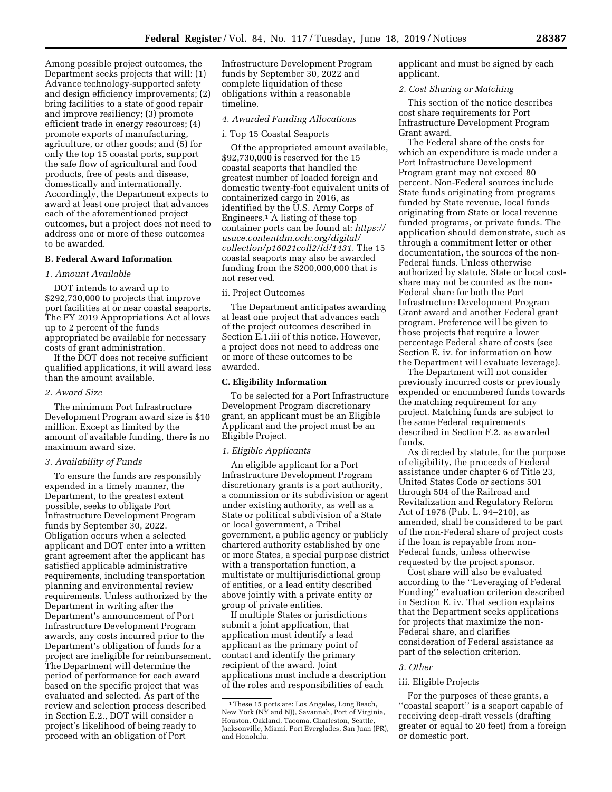Among possible project outcomes, the Department seeks projects that will: (1) Advance technology-supported safety and design efficiency improvements; (2) bring facilities to a state of good repair and improve resiliency; (3) promote efficient trade in energy resources; (4) promote exports of manufacturing, agriculture, or other goods; and (5) for only the top 15 coastal ports, support the safe flow of agricultural and food products, free of pests and disease, domestically and internationally. Accordingly, the Department expects to award at least one project that advances each of the aforementioned project outcomes, but a project does not need to address one or more of these outcomes to be awarded.

# **B. Federal Award Information**

## *1. Amount Available*

DOT intends to award up to \$292,730,000 to projects that improve port facilities at or near coastal seaports. The FY 2019 Appropriations Act allows up to 2 percent of the funds appropriated be available for necessary costs of grant administration.

If the DOT does not receive sufficient qualified applications, it will award less than the amount available.

### *2. Award Size*

The minimum Port Infrastructure Development Program award size is \$10 million. Except as limited by the amount of available funding, there is no maximum award size.

## *3. Availability of Funds*

To ensure the funds are responsibly expended in a timely manner, the Department, to the greatest extent possible, seeks to obligate Port Infrastructure Development Program funds by September 30, 2022. Obligation occurs when a selected applicant and DOT enter into a written grant agreement after the applicant has satisfied applicable administrative requirements, including transportation planning and environmental review requirements. Unless authorized by the Department in writing after the Department's announcement of Port Infrastructure Development Program awards, any costs incurred prior to the Department's obligation of funds for a project are ineligible for reimbursement. The Department will determine the period of performance for each award based on the specific project that was evaluated and selected. As part of the review and selection process described in Section E.2., DOT will consider a project's likelihood of being ready to proceed with an obligation of Port

Infrastructure Development Program funds by September 30, 2022 and complete liquidation of these obligations within a reasonable timeline.

# *4. Awarded Funding Allocations*

### i. Top 15 Coastal Seaports

Of the appropriated amount available, \$92,730,000 is reserved for the 15 coastal seaports that handled the greatest number of loaded foreign and domestic twenty-foot equivalent units of containerized cargo in 2016, as identified by the U.S. Army Corps of Engineers.1 A listing of these top container ports can be found at: *https:// usace.contentdm.oclc.org/digital/ collection/p16021coll2/id/1431.* The 15 coastal seaports may also be awarded funding from the \$200,000,000 that is not reserved.

## ii. Project Outcomes

The Department anticipates awarding at least one project that advances each of the project outcomes described in Section E.1.iii of this notice. However, a project does not need to address one or more of these outcomes to be awarded.

### **C. Eligibility Information**

To be selected for a Port Infrastructure Development Program discretionary grant, an applicant must be an Eligible Applicant and the project must be an Eligible Project.

## *1. Eligible Applicants*

An eligible applicant for a Port Infrastructure Development Program discretionary grants is a port authority, a commission or its subdivision or agent under existing authority, as well as a State or political subdivision of a State or local government, a Tribal government, a public agency or publicly chartered authority established by one or more States, a special purpose district with a transportation function, a multistate or multijurisdictional group of entities, or a lead entity described above jointly with a private entity or group of private entities.

If multiple States or jurisdictions submit a joint application, that application must identify a lead applicant as the primary point of contact and identify the primary recipient of the award. Joint applications must include a description of the roles and responsibilities of each

applicant and must be signed by each applicant.

## *2. Cost Sharing or Matching*

This section of the notice describes cost share requirements for Port Infrastructure Development Program Grant award.

The Federal share of the costs for which an expenditure is made under a Port Infrastructure Development Program grant may not exceed 80 percent. Non-Federal sources include State funds originating from programs funded by State revenue, local funds originating from State or local revenue funded programs, or private funds. The application should demonstrate, such as through a commitment letter or other documentation, the sources of the non-Federal funds. Unless otherwise authorized by statute, State or local costshare may not be counted as the non-Federal share for both the Port Infrastructure Development Program Grant award and another Federal grant program. Preference will be given to those projects that require a lower percentage Federal share of costs (see Section E. iv. for information on how the Department will evaluate leverage).

The Department will not consider previously incurred costs or previously expended or encumbered funds towards the matching requirement for any project. Matching funds are subject to the same Federal requirements described in Section F.2. as awarded funds.

As directed by statute, for the purpose of eligibility, the proceeds of Federal assistance under chapter 6 of Title 23, United States Code or sections 501 through 504 of the Railroad and Revitalization and Regulatory Reform Act of 1976 (Pub. L. 94–210), as amended, shall be considered to be part of the non-Federal share of project costs if the loan is repayable from non-Federal funds, unless otherwise requested by the project sponsor.

Cost share will also be evaluated according to the ''Leveraging of Federal Funding'' evaluation criterion described in Section E. iv. That section explains that the Department seeks applications for projects that maximize the non-Federal share, and clarifies consideration of Federal assistance as part of the selection criterion.

### *3. Other*

### iii. Eligible Projects

For the purposes of these grants, a ''coastal seaport'' is a seaport capable of receiving deep-draft vessels (drafting greater or equal to 20 feet) from a foreign or domestic port.

<sup>1</sup>These 15 ports are: Los Angeles, Long Beach, New York (NY and NJ), Savannah, Port of Virginia, Houston, Oakland, Tacoma, Charleston, Seattle, Jacksonville, Miami, Port Everglades, San Juan (PR), and Honolulu.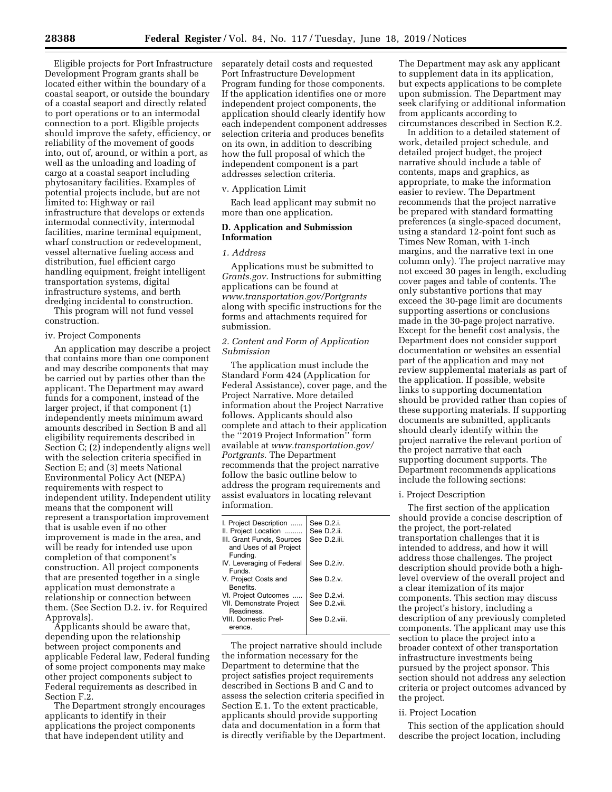Eligible projects for Port Infrastructure Development Program grants shall be located either within the boundary of a coastal seaport, or outside the boundary of a coastal seaport and directly related to port operations or to an intermodal connection to a port. Eligible projects should improve the safety, efficiency, or reliability of the movement of goods into, out of, around, or within a port, as well as the unloading and loading of cargo at a coastal seaport including phytosanitary facilities. Examples of potential projects include, but are not limited to: Highway or rail infrastructure that develops or extends intermodal connectivity, intermodal facilities, marine terminal equipment, wharf construction or redevelopment, vessel alternative fueling access and distribution, fuel efficient cargo handling equipment, freight intelligent transportation systems, digital infrastructure systems, and berth dredging incidental to construction.

This program will not fund vessel construction.

### iv. Project Components

An application may describe a project that contains more than one component and may describe components that may be carried out by parties other than the applicant. The Department may award funds for a component, instead of the larger project, if that component (1) independently meets minimum award amounts described in Section B and all eligibility requirements described in Section C; (2) independently aligns well with the selection criteria specified in Section E; and (3) meets National Environmental Policy Act (NEPA) requirements with respect to independent utility. Independent utility means that the component will represent a transportation improvement that is usable even if no other improvement is made in the area, and will be ready for intended use upon completion of that component's construction. All project components that are presented together in a single application must demonstrate a relationship or connection between them. (See Section D.2. iv. for Required Approvals).

Applicants should be aware that, depending upon the relationship between project components and applicable Federal law, Federal funding of some project components may make other project components subject to Federal requirements as described in Section F.2.

The Department strongly encourages applicants to identify in their applications the project components that have independent utility and

separately detail costs and requested Port Infrastructure Development Program funding for those components. If the application identifies one or more independent project components, the application should clearly identify how each independent component addresses selection criteria and produces benefits on its own, in addition to describing how the full proposal of which the independent component is a part addresses selection criteria.

#### v. Application Limit

Each lead applicant may submit no more than one application.

## **D. Application and Submission Information**

## *1. Address*

Applications must be submitted to *Grants.gov.* Instructions for submitting applications can be found at *www.transportation.gov/Portgrants*  along with specific instructions for the forms and attachments required for submission.

# *2. Content and Form of Application Submission*

The application must include the Standard Form 424 (Application for Federal Assistance), cover page, and the Project Narrative. More detailed information about the Project Narrative follows. Applicants should also complete and attach to their application the ''2019 Project Information'' form available at *www.transportation.gov/ Portgrants.* The Department recommends that the project narrative follow the basic outline below to address the program requirements and assist evaluators in locating relevant information.

| I. Project Description<br>II. Project Location<br>III. Grant Funds, Sources<br>and Uses of all Project<br>Funding. | See D.2.i.<br>See D.2.ii.<br>See D.2.iii. |
|--------------------------------------------------------------------------------------------------------------------|-------------------------------------------|
| IV. Leveraging of Federal<br><b>Funds</b>                                                                          | See D.2.iv.                               |
| V. Project Costs and<br>Benefits.                                                                                  | See $D.2.v.$                              |
| VI. Project Outcomes                                                                                               | See D.2.vi.                               |
| VII. Demonstrate Project<br>Readiness                                                                              | See D.2.vii.                              |
| VIII. Domestic Pref-<br>erence.                                                                                    | See D.2.viii.                             |

The project narrative should include the information necessary for the Department to determine that the project satisfies project requirements described in Sections B and C and to assess the selection criteria specified in Section E.1. To the extent practicable, applicants should provide supporting data and documentation in a form that is directly verifiable by the Department.

The Department may ask any applicant to supplement data in its application, but expects applications to be complete upon submission. The Department may seek clarifying or additional information from applicants according to circumstances described in Section E.2.

In addition to a detailed statement of work, detailed project schedule, and detailed project budget, the project narrative should include a table of contents, maps and graphics, as appropriate, to make the information easier to review. The Department recommends that the project narrative be prepared with standard formatting preferences (a single-spaced document, using a standard 12-point font such as Times New Roman, with 1-inch margins, and the narrative text in one column only). The project narrative may not exceed 30 pages in length, excluding cover pages and table of contents. The only substantive portions that may exceed the 30-page limit are documents supporting assertions or conclusions made in the 30-page project narrative. Except for the benefit cost analysis, the Department does not consider support documentation or websites an essential part of the application and may not review supplemental materials as part of the application. If possible, website links to supporting documentation should be provided rather than copies of these supporting materials. If supporting documents are submitted, applicants should clearly identify within the project narrative the relevant portion of the project narrative that each supporting document supports. The Department recommends applications include the following sections:

### i. Project Description

The first section of the application should provide a concise description of the project, the port-related transportation challenges that it is intended to address, and how it will address those challenges. The project description should provide both a highlevel overview of the overall project and a clear itemization of its major components. This section may discuss the project's history, including a description of any previously completed components. The applicant may use this section to place the project into a broader context of other transportation infrastructure investments being pursued by the project sponsor. This section should not address any selection criteria or project outcomes advanced by the project.

### ii. Project Location

This section of the application should describe the project location, including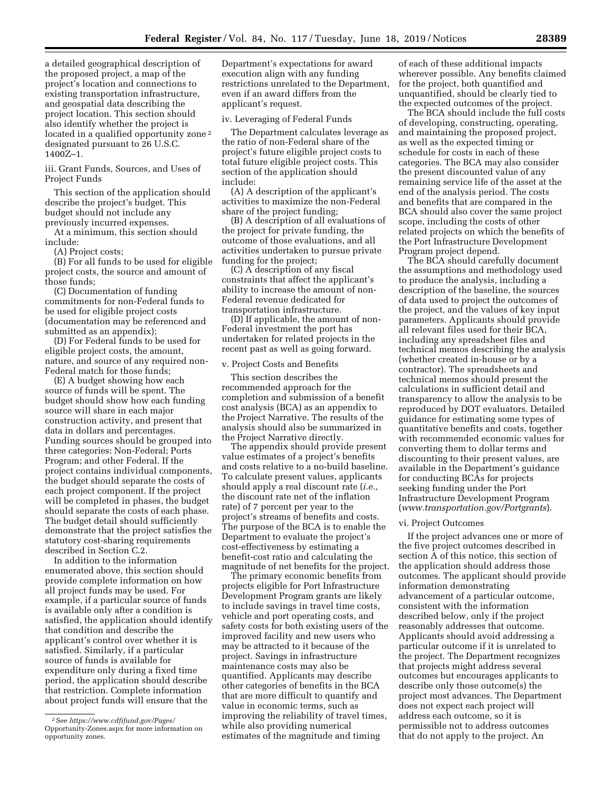a detailed geographical description of the proposed project, a map of the project's location and connections to existing transportation infrastructure, and geospatial data describing the project location. This section should also identify whether the project is located in a qualified opportunity zone<sup>2</sup> designated pursuant to 26 U.S.C. 1400Z–1.

iii. Grant Funds, Sources, and Uses of Project Funds

This section of the application should describe the project's budget. This budget should not include any previously incurred expenses.

At a minimum, this section should include:

(A) Project costs;

(B) For all funds to be used for eligible project costs, the source and amount of those funds;

(C) Documentation of funding commitments for non-Federal funds to be used for eligible project costs (documentation may be referenced and submitted as an appendix);

(D) For Federal funds to be used for eligible project costs, the amount, nature, and source of any required non-Federal match for those funds;

(E) A budget showing how each source of funds will be spent. The budget should show how each funding source will share in each major construction activity, and present that data in dollars and percentages. Funding sources should be grouped into three categories: Non-Federal; Ports Program; and other Federal. If the project contains individual components, the budget should separate the costs of each project component. If the project will be completed in phases, the budget should separate the costs of each phase. The budget detail should sufficiently demonstrate that the project satisfies the statutory cost-sharing requirements described in Section C.2.

In addition to the information enumerated above, this section should provide complete information on how all project funds may be used. For example, if a particular source of funds is available only after a condition is satisfied, the application should identify that condition and describe the applicant's control over whether it is satisfied. Similarly, if a particular source of funds is available for expenditure only during a fixed time period, the application should describe that restriction. Complete information about project funds will ensure that the

Department's expectations for award execution align with any funding restrictions unrelated to the Department, even if an award differs from the applicant's request.

iv. Leveraging of Federal Funds

The Department calculates leverage as the ratio of non-Federal share of the project's future eligible project costs to total future eligible project costs. This section of the application should include:

(A) A description of the applicant's activities to maximize the non-Federal share of the project funding;

(B) A description of all evaluations of the project for private funding, the outcome of those evaluations, and all activities undertaken to pursue private funding for the project;

(C) A description of any fiscal constraints that affect the applicant's ability to increase the amount of non-Federal revenue dedicated for transportation infrastructure.

(D) If applicable, the amount of non-Federal investment the port has undertaken for related projects in the recent past as well as going forward.

## v. Project Costs and Benefits

This section describes the recommended approach for the completion and submission of a benefit cost analysis (BCA) as an appendix to the Project Narrative. The results of the analysis should also be summarized in the Project Narrative directly.

The appendix should provide present value estimates of a project's benefits and costs relative to a no-build baseline. To calculate present values, applicants should apply a real discount rate (*i.e.,*  the discount rate net of the inflation rate) of 7 percent per year to the project's streams of benefits and costs. The purpose of the BCA is to enable the Department to evaluate the project's cost-effectiveness by estimating a benefit-cost ratio and calculating the magnitude of net benefits for the project.

The primary economic benefits from projects eligible for Port Infrastructure Development Program grants are likely to include savings in travel time costs, vehicle and port operating costs, and safety costs for both existing users of the improved facility and new users who may be attracted to it because of the project. Savings in infrastructure maintenance costs may also be quantified. Applicants may describe other categories of benefits in the BCA that are more difficult to quantify and value in economic terms, such as improving the reliability of travel times, while also providing numerical estimates of the magnitude and timing

of each of these additional impacts wherever possible. Any benefits claimed for the project, both quantified and unquantified, should be clearly tied to the expected outcomes of the project.

The BCA should include the full costs of developing, constructing, operating, and maintaining the proposed project, as well as the expected timing or schedule for costs in each of these categories. The BCA may also consider the present discounted value of any remaining service life of the asset at the end of the analysis period. The costs and benefits that are compared in the BCA should also cover the same project scope, including the costs of other related projects on which the benefits of the Port Infrastructure Development Program project depend.

The BCA should carefully document the assumptions and methodology used to produce the analysis, including a description of the baseline, the sources of data used to project the outcomes of the project, and the values of key input parameters. Applicants should provide all relevant files used for their BCA, including any spreadsheet files and technical memos describing the analysis (whether created in-house or by a contractor). The spreadsheets and technical memos should present the calculations in sufficient detail and transparency to allow the analysis to be reproduced by DOT evaluators. Detailed guidance for estimating some types of quantitative benefits and costs, together with recommended economic values for converting them to dollar terms and discounting to their present values, are available in the Department's guidance for conducting BCAs for projects seeking funding under the Port Infrastructure Development Program (*www.transportation.gov/Portgrants*).

## vi. Project Outcomes

If the project advances one or more of the five project outcomes described in section A of this notice, this section of the application should address those outcomes. The applicant should provide information demonstrating advancement of a particular outcome, consistent with the information described below, only if the project reasonably addresses that outcome. Applicants should avoid addressing a particular outcome if it is unrelated to the project. The Department recognizes that projects might address several outcomes but encourages applicants to describe only those outcome(s) the project most advances. The Department does not expect each project will address each outcome, so it is permissible not to address outcomes that do not apply to the project. An

<sup>2</sup>See *https://www.cdfifund.gov/Pages/*  Opportunity-Zones.aspx for more information on opportunity zones.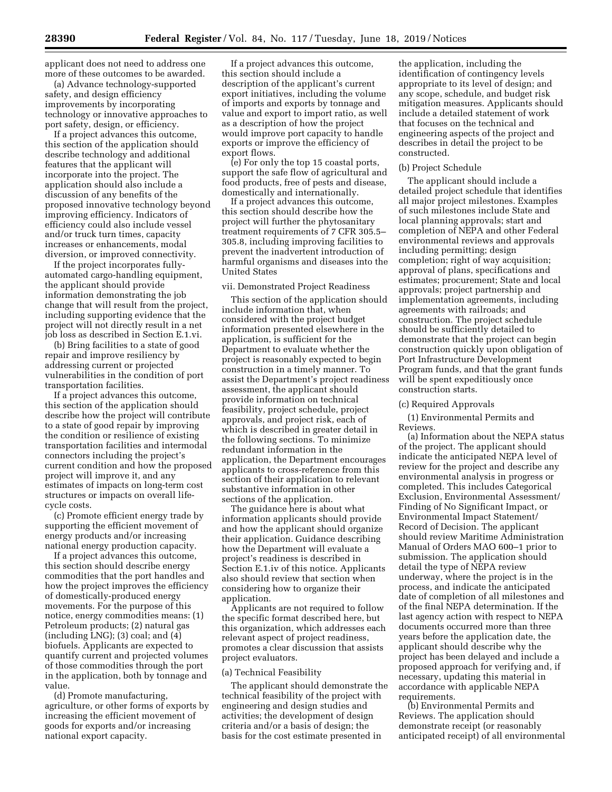applicant does not need to address one more of these outcomes to be awarded.

(a) Advance technology-supported safety, and design efficiency improvements by incorporating technology or innovative approaches to port safety, design, or efficiency.

If a project advances this outcome, this section of the application should describe technology and additional features that the applicant will incorporate into the project. The application should also include a discussion of any benefits of the proposed innovative technology beyond improving efficiency. Indicators of efficiency could also include vessel and/or truck turn times, capacity increases or enhancements, modal diversion, or improved connectivity.

If the project incorporates fullyautomated cargo-handling equipment, the applicant should provide information demonstrating the job change that will result from the project, including supporting evidence that the project will not directly result in a net job loss as described in Section E.1.vi.

(b) Bring facilities to a state of good repair and improve resiliency by addressing current or projected vulnerabilities in the condition of port transportation facilities.

If a project advances this outcome, this section of the application should describe how the project will contribute to a state of good repair by improving the condition or resilience of existing transportation facilities and intermodal connectors including the project's current condition and how the proposed project will improve it, and any estimates of impacts on long-term cost structures or impacts on overall lifecycle costs.

(c) Promote efficient energy trade by supporting the efficient movement of energy products and/or increasing national energy production capacity.

If a project advances this outcome, this section should describe energy commodities that the port handles and how the project improves the efficiency of domestically-produced energy movements. For the purpose of this notice, energy commodities means: (1) Petroleum products; (2) natural gas  $(including LNG);$   $(3) coal;$  and  $(4)$ biofuels. Applicants are expected to quantify current and projected volumes of those commodities through the port in the application, both by tonnage and value.

(d) Promote manufacturing, agriculture, or other forms of exports by increasing the efficient movement of goods for exports and/or increasing national export capacity.

If a project advances this outcome, this section should include a description of the applicant's current export initiatives, including the volume of imports and exports by tonnage and value and export to import ratio, as well as a description of how the project would improve port capacity to handle exports or improve the efficiency of export flows.

(e) For only the top 15 coastal ports, support the safe flow of agricultural and food products, free of pests and disease, domestically and internationally.

If a project advances this outcome, this section should describe how the project will further the phytosanitary treatment requirements of 7 CFR 305.5– 305.8, including improving facilities to prevent the inadvertent introduction of harmful organisms and diseases into the United States

### vii. Demonstrated Project Readiness

This section of the application should include information that, when considered with the project budget information presented elsewhere in the application, is sufficient for the Department to evaluate whether the project is reasonably expected to begin construction in a timely manner. To assist the Department's project readiness assessment, the applicant should provide information on technical feasibility, project schedule, project approvals, and project risk, each of which is described in greater detail in the following sections. To minimize redundant information in the application, the Department encourages applicants to cross-reference from this section of their application to relevant substantive information in other sections of the application.

The guidance here is about what information applicants should provide and how the applicant should organize their application. Guidance describing how the Department will evaluate a project's readiness is described in Section E.1.iv of this notice. Applicants also should review that section when considering how to organize their application.

Applicants are not required to follow the specific format described here, but this organization, which addresses each relevant aspect of project readiness, promotes a clear discussion that assists project evaluators.

### (a) Technical Feasibility

The applicant should demonstrate the technical feasibility of the project with engineering and design studies and activities; the development of design criteria and/or a basis of design; the basis for the cost estimate presented in

the application, including the identification of contingency levels appropriate to its level of design; and any scope, schedule, and budget risk mitigation measures. Applicants should include a detailed statement of work that focuses on the technical and engineering aspects of the project and describes in detail the project to be constructed.

### (b) Project Schedule

The applicant should include a detailed project schedule that identifies all major project milestones. Examples of such milestones include State and local planning approvals; start and completion of NEPA and other Federal environmental reviews and approvals including permitting; design completion; right of way acquisition; approval of plans, specifications and estimates; procurement; State and local approvals; project partnership and implementation agreements, including agreements with railroads; and construction. The project schedule should be sufficiently detailed to demonstrate that the project can begin construction quickly upon obligation of Port Infrastructure Development Program funds, and that the grant funds will be spent expeditiously once construction starts.

### (c) Required Approvals

(1) Environmental Permits and Reviews.

(a) Information about the NEPA status of the project. The applicant should indicate the anticipated NEPA level of review for the project and describe any environmental analysis in progress or completed. This includes Categorical Exclusion, Environmental Assessment/ Finding of No Significant Impact, or Environmental Impact Statement/ Record of Decision. The applicant should review Maritime Administration Manual of Orders MAO 600–1 prior to submission. The application should detail the type of NEPA review underway, where the project is in the process, and indicate the anticipated date of completion of all milestones and of the final NEPA determination. If the last agency action with respect to NEPA documents occurred more than three years before the application date, the applicant should describe why the project has been delayed and include a proposed approach for verifying and, if necessary, updating this material in accordance with applicable NEPA requirements.

(b) Environmental Permits and Reviews. The application should demonstrate receipt (or reasonably anticipated receipt) of all environmental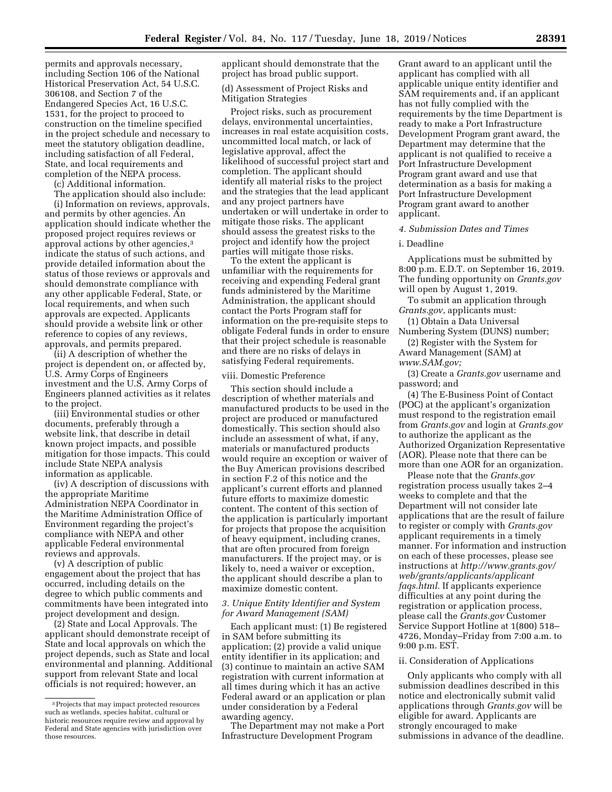permits and approvals necessary, including Section 106 of the National Historical Preservation Act, 54 U.S.C. 306108, and Section 7 of the Endangered Species Act, 16 U.S.C. 1531, for the project to proceed to construction on the timeline specified in the project schedule and necessary to meet the statutory obligation deadline, including satisfaction of all Federal, State, and local requirements and completion of the NEPA process.

(c) Additional information.

The application should also include:

(i) Information on reviews, approvals, and permits by other agencies. An application should indicate whether the proposed project requires reviews or approval actions by other agencies,3 indicate the status of such actions, and provide detailed information about the status of those reviews or approvals and should demonstrate compliance with any other applicable Federal, State, or local requirements, and when such approvals are expected. Applicants should provide a website link or other reference to copies of any reviews, approvals, and permits prepared.

(ii) A description of whether the project is dependent on, or affected by, U.S. Army Corps of Engineers investment and the U.S. Army Corps of Engineers planned activities as it relates to the project.

(iii) Environmental studies or other documents, preferably through a website link, that describe in detail known project impacts, and possible mitigation for those impacts. This could include State NEPA analysis information as applicable.

(iv) A description of discussions with the appropriate Maritime Administration NEPA Coordinator in the Maritime Administration Office of Environment regarding the project's compliance with NEPA and other applicable Federal environmental reviews and approvals.

(v) A description of public engagement about the project that has occurred, including details on the degree to which public comments and commitments have been integrated into project development and design.

(2) State and Local Approvals. The applicant should demonstrate receipt of State and local approvals on which the project depends, such as State and local environmental and planning. Additional support from relevant State and local officials is not required; however, an

applicant should demonstrate that the project has broad public support.

(d) Assessment of Project Risks and Mitigation Strategies

Project risks, such as procurement delays, environmental uncertainties, increases in real estate acquisition costs, uncommitted local match, or lack of legislative approval, affect the likelihood of successful project start and completion. The applicant should identify all material risks to the project and the strategies that the lead applicant and any project partners have undertaken or will undertake in order to mitigate those risks. The applicant should assess the greatest risks to the project and identify how the project parties will mitigate those risks.

To the extent the applicant is unfamiliar with the requirements for receiving and expending Federal grant funds administered by the Maritime Administration, the applicant should contact the Ports Program staff for information on the pre-requisite steps to obligate Federal funds in order to ensure that their project schedule is reasonable and there are no risks of delays in satisfying Federal requirements.

### viii. Domestic Preference

This section should include a description of whether materials and manufactured products to be used in the project are produced or manufactured domestically. This section should also include an assessment of what, if any, materials or manufactured products would require an exception or waiver of the Buy American provisions described in section F.2 of this notice and the applicant's current efforts and planned future efforts to maximize domestic content. The content of this section of the application is particularly important for projects that propose the acquisition of heavy equipment, including cranes, that are often procured from foreign manufacturers. If the project may, or is likely to, need a waiver or exception, the applicant should describe a plan to maximize domestic content.

## *3. Unique Entity Identifier and System for Award Management (SAM)*

Each applicant must: (1) Be registered in SAM before submitting its application; (2) provide a valid unique entity identifier in its application; and (3) continue to maintain an active SAM registration with current information at all times during which it has an active Federal award or an application or plan under consideration by a Federal awarding agency.

The Department may not make a Port Infrastructure Development Program

Grant award to an applicant until the applicant has complied with all applicable unique entity identifier and SAM requirements and, if an applicant has not fully complied with the requirements by the time Department is ready to make a Port Infrastructure Development Program grant award, the Department may determine that the applicant is not qualified to receive a Port Infrastructure Development Program grant award and use that determination as a basis for making a Port Infrastructure Development Program grant award to another applicant.

## *4. Submission Dates and Times*

### i. Deadline

Applications must be submitted by 8:00 p.m. E.D.T. on September 16, 2019. The funding opportunity on *Grants.gov*  will open by August 1, 2019.

To submit an application through *Grants.gov*, applicants must:

(1) Obtain a Data Universal Numbering System (DUNS) number;

(2) Register with the System for Award Management (SAM) at *www.SAM.gov;* 

(3) Create a *Grants.gov* username and password; and

(4) The E-Business Point of Contact (POC) at the applicant's organization must respond to the registration email from *Grants.gov* and login at *Grants.gov*  to authorize the applicant as the Authorized Organization Representative (AOR). Please note that there can be more than one AOR for an organization.

Please note that the *Grants.gov*  registration process usually takes 2–4 weeks to complete and that the Department will not consider late applications that are the result of failure to register or comply with *Grants.gov*  applicant requirements in a timely manner. For information and instruction on each of these processes, please see instructions at *http://www.grants.gov/ web/grants/applicants/applicant faqs.html.* If applicants experience difficulties at any point during the registration or application process, please call the *Grants.gov* Customer Service Support Hotline at 1(800) 518– 4726, Monday–Friday from 7:00 a.m. to 9:00 p.m. EST.

## ii. Consideration of Applications

Only applicants who comply with all submission deadlines described in this notice and electronically submit valid applications through *Grants.gov* will be eligible for award. Applicants are strongly encouraged to make submissions in advance of the deadline.

<sup>3</sup>Projects that may impact protected resources such as wetlands, species habitat, cultural or historic resources require review and approval by Federal and State agencies with jurisdiction over those resources.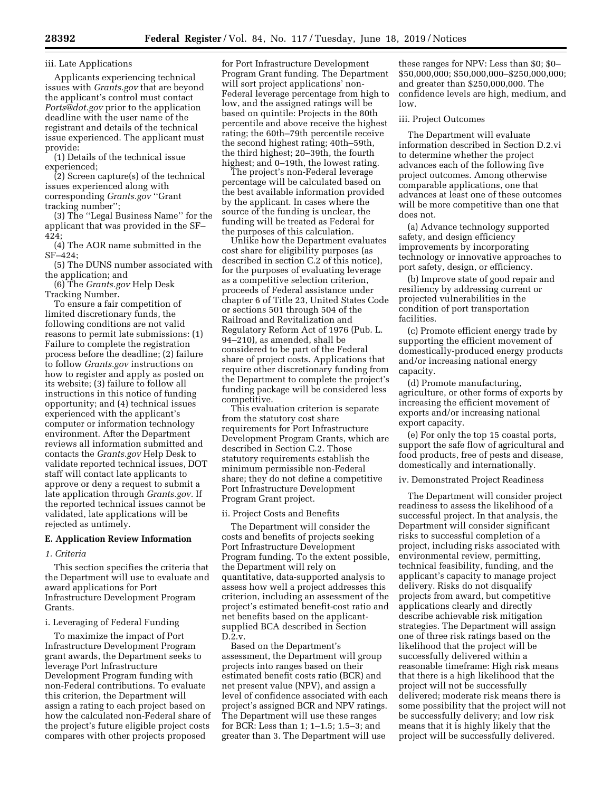## iii. Late Applications

Applicants experiencing technical issues with *Grants.gov* that are beyond the applicant's control must contact *Ports@dot.gov* prior to the application deadline with the user name of the registrant and details of the technical issue experienced. The applicant must provide:

(1) Details of the technical issue experienced;

(2) Screen capture(s) of the technical issues experienced along with corresponding *Grants.gov* ''Grant tracking number'';

(3) The ''Legal Business Name'' for the applicant that was provided in the SF– 424;

(4) The AOR name submitted in the SF–424;

(5) The DUNS number associated with the application; and

(6) The *Grants.gov* Help Desk Tracking Number.

To ensure a fair competition of limited discretionary funds, the following conditions are not valid reasons to permit late submissions: (1) Failure to complete the registration process before the deadline; (2) failure to follow *Grants.gov* instructions on how to register and apply as posted on its website; (3) failure to follow all instructions in this notice of funding opportunity; and (4) technical issues experienced with the applicant's computer or information technology environment. After the Department reviews all information submitted and contacts the *Grants.gov* Help Desk to validate reported technical issues, DOT staff will contact late applicants to approve or deny a request to submit a late application through *Grants.gov*. If the reported technical issues cannot be validated, late applications will be rejected as untimely.

# **E. Application Review Information**

## *1. Criteria*

This section specifies the criteria that the Department will use to evaluate and award applications for Port Infrastructure Development Program Grants.

# i. Leveraging of Federal Funding

To maximize the impact of Port Infrastructure Development Program grant awards, the Department seeks to leverage Port Infrastructure Development Program funding with non-Federal contributions. To evaluate this criterion, the Department will assign a rating to each project based on how the calculated non-Federal share of the project's future eligible project costs compares with other projects proposed

for Port Infrastructure Development Program Grant funding. The Department will sort project applications' non-Federal leverage percentage from high to low, and the assigned ratings will be based on quintile: Projects in the 80th percentile and above receive the highest rating; the 60th–79th percentile receive the second highest rating; 40th–59th, the third highest; 20–39th, the fourth highest; and 0–19th, the lowest rating.

The project's non-Federal leverage percentage will be calculated based on the best available information provided by the applicant. In cases where the source of the funding is unclear, the funding will be treated as Federal for the purposes of this calculation.

Unlike how the Department evaluates cost share for eligibility purposes (as described in section C.2 of this notice), for the purposes of evaluating leverage as a competitive selection criterion, proceeds of Federal assistance under chapter 6 of Title 23, United States Code or sections 501 through 504 of the Railroad and Revitalization and Regulatory Reform Act of 1976 (Pub. L. 94–210), as amended, shall be considered to be part of the Federal share of project costs. Applications that require other discretionary funding from the Department to complete the project's funding package will be considered less competitive.

This evaluation criterion is separate from the statutory cost share requirements for Port Infrastructure Development Program Grants, which are described in Section C.2. Those statutory requirements establish the minimum permissible non-Federal share; they do not define a competitive Port Infrastructure Development Program Grant project.

### ii. Project Costs and Benefits

The Department will consider the costs and benefits of projects seeking Port Infrastructure Development Program funding. To the extent possible, the Department will rely on quantitative, data-supported analysis to assess how well a project addresses this criterion, including an assessment of the project's estimated benefit-cost ratio and net benefits based on the applicantsupplied BCA described in Section  $D.2.v.$ 

Based on the Department's assessment, the Department will group projects into ranges based on their estimated benefit costs ratio (BCR) and net present value (NPV), and assign a level of confidence associated with each project's assigned BCR and NPV ratings. The Department will use these ranges for BCR: Less than 1; 1–1.5; 1.5–3; and greater than 3. The Department will use

these ranges for NPV: Less than \$0; \$0– \$50,000,000; \$50,000,000–\$250,000,000; and greater than \$250,000,000. The confidence levels are high, medium, and low.

### iii. Project Outcomes

The Department will evaluate information described in Section D.2.vi to determine whether the project advances each of the following five project outcomes. Among otherwise comparable applications, one that advances at least one of these outcomes will be more competitive than one that does not.

(a) Advance technology supported safety, and design efficiency improvements by incorporating technology or innovative approaches to port safety, design, or efficiency.

(b) Improve state of good repair and resiliency by addressing current or projected vulnerabilities in the condition of port transportation facilities.

(c) Promote efficient energy trade by supporting the efficient movement of domestically-produced energy products and/or increasing national energy capacity.

(d) Promote manufacturing, agriculture, or other forms of exports by increasing the efficient movement of exports and/or increasing national export capacity.

(e) For only the top 15 coastal ports, support the safe flow of agricultural and food products, free of pests and disease, domestically and internationally.

iv. Demonstrated Project Readiness

The Department will consider project readiness to assess the likelihood of a successful project. In that analysis, the Department will consider significant risks to successful completion of a project, including risks associated with environmental review, permitting, technical feasibility, funding, and the applicant's capacity to manage project delivery. Risks do not disqualify projects from award, but competitive applications clearly and directly describe achievable risk mitigation strategies. The Department will assign one of three risk ratings based on the likelihood that the project will be successfully delivered within a reasonable timeframe: High risk means that there is a high likelihood that the project will not be successfully delivered; moderate risk means there is some possibility that the project will not be successfully delivery; and low risk means that it is highly likely that the project will be successfully delivered.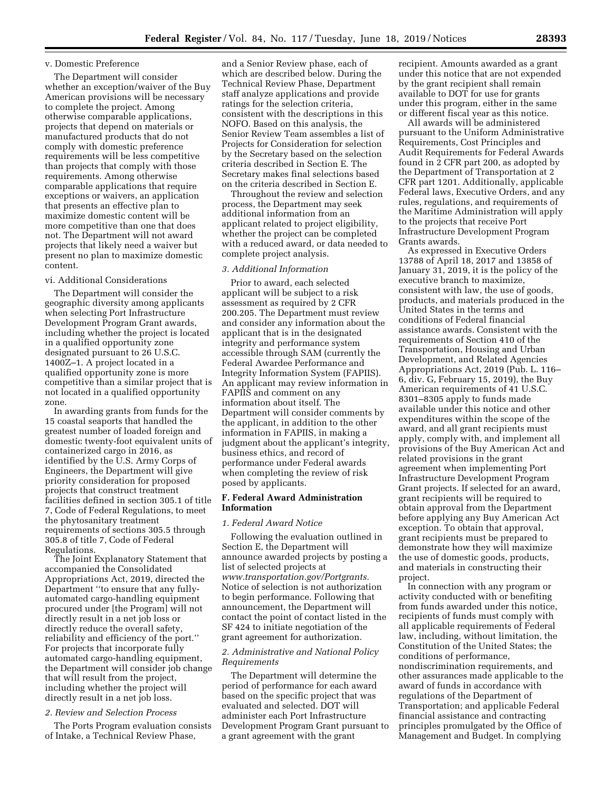# v. Domestic Preference

The Department will consider whether an exception/waiver of the Buy American provisions will be necessary to complete the project. Among otherwise comparable applications, projects that depend on materials or manufactured products that do not comply with domestic preference requirements will be less competitive than projects that comply with those requirements. Among otherwise comparable applications that require exceptions or waivers, an application that presents an effective plan to maximize domestic content will be more competitive than one that does not. The Department will not award projects that likely need a waiver but present no plan to maximize domestic content.

### vi. Additional Considerations

The Department will consider the geographic diversity among applicants when selecting Port Infrastructure Development Program Grant awards, including whether the project is located in a qualified opportunity zone designated pursuant to 26 U.S.C. 1400Z–1. A project located in a qualified opportunity zone is more competitive than a similar project that is not located in a qualified opportunity zone.

In awarding grants from funds for the 15 coastal seaports that handled the greatest number of loaded foreign and domestic twenty-foot equivalent units of containerized cargo in 2016, as identified by the U.S. Army Corps of Engineers, the Department will give priority consideration for proposed projects that construct treatment facilities defined in section 305.1 of title 7, Code of Federal Regulations, to meet the phytosanitary treatment requirements of sections 305.5 through 305.8 of title 7, Code of Federal Regulations.

The Joint Explanatory Statement that accompanied the Consolidated Appropriations Act, 2019, directed the Department ''to ensure that any fullyautomated cargo-handling equipment procured under [the Program] will not directly result in a net job loss or directly reduce the overall safety, reliability and efficiency of the port.'' For projects that incorporate fully automated cargo-handling equipment, the Department will consider job change that will result from the project, including whether the project will directly result in a net job loss.

### *2. Review and Selection Process*

The Ports Program evaluation consists of Intake, a Technical Review Phase,

and a Senior Review phase, each of which are described below. During the Technical Review Phase, Department staff analyze applications and provide ratings for the selection criteria, consistent with the descriptions in this NOFO. Based on this analysis, the Senior Review Team assembles a list of Projects for Consideration for selection by the Secretary based on the selection criteria described in Section E. The Secretary makes final selections based on the criteria described in Section E.

Throughout the review and selection process, the Department may seek additional information from an applicant related to project eligibility, whether the project can be completed with a reduced award, or data needed to complete project analysis.

# *3. Additional Information*

Prior to award, each selected applicant will be subject to a risk assessment as required by 2 CFR 200.205. The Department must review and consider any information about the applicant that is in the designated integrity and performance system accessible through SAM (currently the Federal Awardee Performance and Integrity Information System (FAPIIS). An applicant may review information in FAPIIS and comment on any information about itself. The Department will consider comments by the applicant, in addition to the other information in FAPIIS, in making a judgment about the applicant's integrity, business ethics, and record of performance under Federal awards when completing the review of risk posed by applicants.

## **F. Federal Award Administration Information**

### *1. Federal Award Notice*

Following the evaluation outlined in Section E, the Department will announce awarded projects by posting a list of selected projects at *www.transportation.gov/Portgrants.*  Notice of selection is not authorization to begin performance. Following that announcement, the Department will contact the point of contact listed in the SF 424 to initiate negotiation of the grant agreement for authorization.

### *2. Administrative and National Policy Requirements*

The Department will determine the period of performance for each award based on the specific project that was evaluated and selected. DOT will administer each Port Infrastructure Development Program Grant pursuant to a grant agreement with the grant

recipient. Amounts awarded as a grant under this notice that are not expended by the grant recipient shall remain available to DOT for use for grants under this program, either in the same or different fiscal year as this notice.

All awards will be administered pursuant to the Uniform Administrative Requirements, Cost Principles and Audit Requirements for Federal Awards found in 2 CFR part 200, as adopted by the Department of Transportation at 2 CFR part 1201. Additionally, applicable Federal laws, Executive Orders, and any rules, regulations, and requirements of the Maritime Administration will apply to the projects that receive Port Infrastructure Development Program Grants awards.

As expressed in Executive Orders 13788 of April 18, 2017 and 13858 of January 31, 2019, it is the policy of the executive branch to maximize, consistent with law, the use of goods, products, and materials produced in the United States in the terms and conditions of Federal financial assistance awards. Consistent with the requirements of Section 410 of the Transportation, Housing and Urban Development, and Related Agencies Appropriations Act, 2019 (Pub. L. 116– 6, div. G, February 15, 2019), the Buy American requirements of 41 U.S.C. 8301–8305 apply to funds made available under this notice and other expenditures within the scope of the award, and all grant recipients must apply, comply with, and implement all provisions of the Buy American Act and related provisions in the grant agreement when implementing Port Infrastructure Development Program Grant projects. If selected for an award, grant recipients will be required to obtain approval from the Department before applying any Buy American Act exception. To obtain that approval, grant recipients must be prepared to demonstrate how they will maximize the use of domestic goods, products, and materials in constructing their project.

In connection with any program or activity conducted with or benefiting from funds awarded under this notice, recipients of funds must comply with all applicable requirements of Federal law, including, without limitation, the Constitution of the United States; the conditions of performance, nondiscrimination requirements, and other assurances made applicable to the award of funds in accordance with regulations of the Department of Transportation; and applicable Federal financial assistance and contracting principles promulgated by the Office of Management and Budget. In complying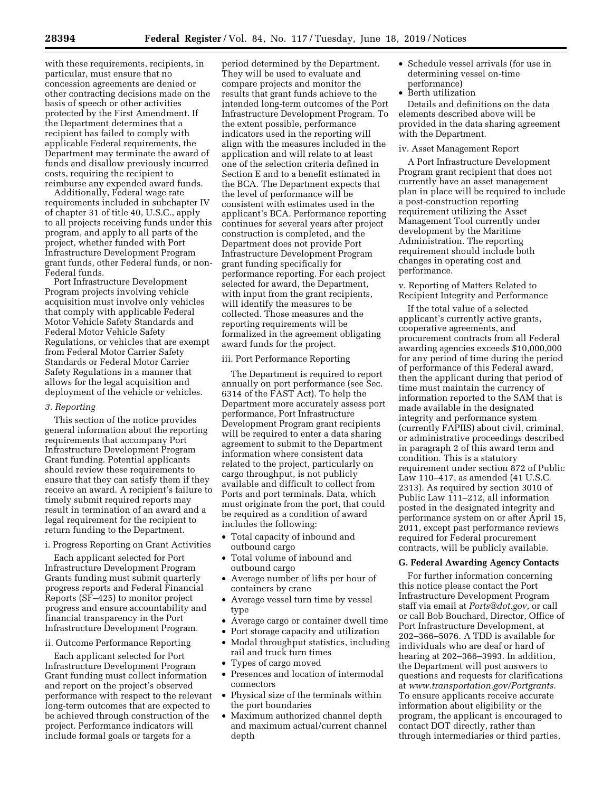with these requirements, recipients, in particular, must ensure that no concession agreements are denied or other contracting decisions made on the basis of speech or other activities protected by the First Amendment. If the Department determines that a recipient has failed to comply with applicable Federal requirements, the Department may terminate the award of funds and disallow previously incurred costs, requiring the recipient to reimburse any expended award funds.

Additionally, Federal wage rate requirements included in subchapter IV of chapter 31 of title 40, U.S.C., apply to all projects receiving funds under this program, and apply to all parts of the project, whether funded with Port Infrastructure Development Program grant funds, other Federal funds, or non-Federal funds.

Port Infrastructure Development Program projects involving vehicle acquisition must involve only vehicles that comply with applicable Federal Motor Vehicle Safety Standards and Federal Motor Vehicle Safety Regulations, or vehicles that are exempt from Federal Motor Carrier Safety Standards or Federal Motor Carrier Safety Regulations in a manner that allows for the legal acquisition and deployment of the vehicle or vehicles.

## *3. Reporting*

This section of the notice provides general information about the reporting requirements that accompany Port Infrastructure Development Program Grant funding. Potential applicants should review these requirements to ensure that they can satisfy them if they receive an award. A recipient's failure to timely submit required reports may result in termination of an award and a legal requirement for the recipient to return funding to the Department.

# i. Progress Reporting on Grant Activities

Each applicant selected for Port Infrastructure Development Program Grants funding must submit quarterly progress reports and Federal Financial Reports (SF–425) to monitor project progress and ensure accountability and financial transparency in the Port Infrastructure Development Program.

# ii. Outcome Performance Reporting

Each applicant selected for Port Infrastructure Development Program Grant funding must collect information and report on the project's observed performance with respect to the relevant long-term outcomes that are expected to be achieved through construction of the project. Performance indicators will include formal goals or targets for a

period determined by the Department. They will be used to evaluate and compare projects and monitor the results that grant funds achieve to the intended long-term outcomes of the Port Infrastructure Development Program. To the extent possible, performance indicators used in the reporting will align with the measures included in the application and will relate to at least one of the selection criteria defined in Section E and to a benefit estimated in the BCA. The Department expects that the level of performance will be consistent with estimates used in the applicant's BCA. Performance reporting continues for several years after project construction is completed, and the Department does not provide Port Infrastructure Development Program grant funding specifically for performance reporting. For each project selected for award, the Department, with input from the grant recipients, will identify the measures to be collected. Those measures and the reporting requirements will be formalized in the agreement obligating award funds for the project.

## iii. Port Performance Reporting

The Department is required to report annually on port performance (see Sec. 6314 of the FAST Act). To help the Department more accurately assess port performance, Port Infrastructure Development Program grant recipients will be required to enter a data sharing agreement to submit to the Department information where consistent data related to the project, particularly on cargo throughput, is not publicly available and difficult to collect from Ports and port terminals. Data, which must originate from the port, that could be required as a condition of award includes the following:

- Total capacity of inbound and outbound cargo
- Total volume of inbound and outbound cargo
- Average number of lifts per hour of containers by crane
- Average vessel turn time by vessel type
- Average cargo or container dwell time
- Port storage capacity and utilization
- Modal throughput statistics, including rail and truck turn times
- Types of cargo moved
- Presences and location of intermodal connectors
- Physical size of the terminals within the port boundaries
- Maximum authorized channel depth and maximum actual/current channel depth
- Schedule vessel arrivals (for use in determining vessel on-time performance)
- Berth utilization

Details and definitions on the data elements described above will be provided in the data sharing agreement with the Department.

## iv. Asset Management Report

A Port Infrastructure Development Program grant recipient that does not currently have an asset management plan in place will be required to include a post-construction reporting requirement utilizing the Asset Management Tool currently under development by the Maritime Administration. The reporting requirement should include both changes in operating cost and performance.

v. Reporting of Matters Related to Recipient Integrity and Performance

If the total value of a selected applicant's currently active grants, cooperative agreements, and procurement contracts from all Federal awarding agencies exceeds \$10,000,000 for any period of time during the period of performance of this Federal award, then the applicant during that period of time must maintain the currency of information reported to the SAM that is made available in the designated integrity and performance system (currently FAPIIS) about civil, criminal, or administrative proceedings described in paragraph 2 of this award term and condition. This is a statutory requirement under section 872 of Public Law 110–417, as amended (41 U.S.C. 2313). As required by section 3010 of Public Law 111–212, all information posted in the designated integrity and performance system on or after April 15, 2011, except past performance reviews required for Federal procurement contracts, will be publicly available.

## **G. Federal Awarding Agency Contacts**

For further information concerning this notice please contact the Port Infrastructure Development Program staff via email at *Ports@dot.gov,* or call or call Bob Bouchard, Director, Office of Port Infrastructure Development, at 202–366–5076. A TDD is available for individuals who are deaf or hard of hearing at 202–366–3993. In addition, the Department will post answers to questions and requests for clarifications at *www.transportation.gov/Portgrants.*  To ensure applicants receive accurate information about eligibility or the program, the applicant is encouraged to contact DOT directly, rather than through intermediaries or third parties,